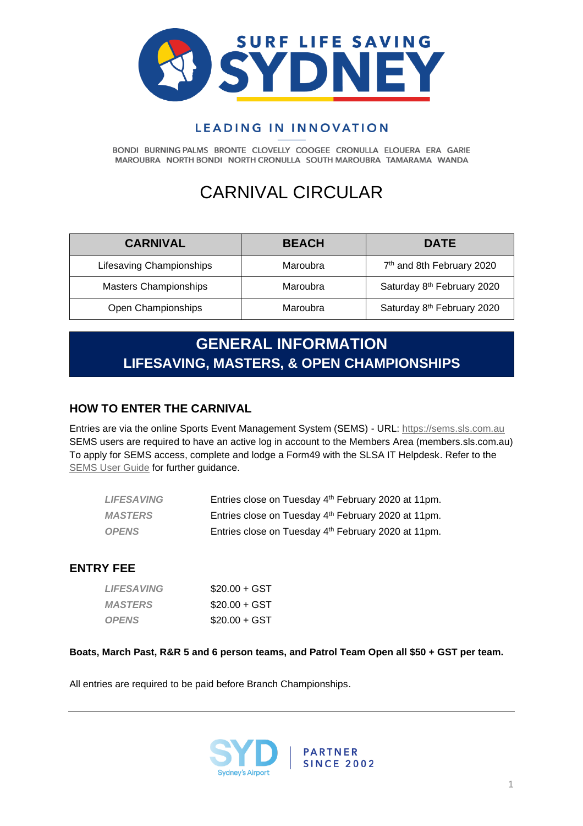

# LEADING IN INNOVATION

BONDI BURNING PALMS BRONTE CLOVELLY COOGEE CRONULLA ELOUERA ERA GARIE MAROUBRA NORTH BONDI NORTH CRONULLA SOUTH MAROUBRA TAMARAMA WANDA

# CARNIVAL CIRCULAR

| <b>CARNIVAL</b>              | <b>BEACH</b> | <b>DATE</b>                           |
|------------------------------|--------------|---------------------------------------|
| Lifesaving Championships     | Maroubra     | 7 <sup>th</sup> and 8th February 2020 |
| <b>Masters Championships</b> | Maroubra     | Saturday 8th February 2020            |
| Open Championships           | Maroubra     | Saturday 8th February 2020            |

# **GENERAL INFORMATION LIFESAVING, MASTERS, & OPEN CHAMPIONSHIPS**

# **HOW TO ENTER THE CARNIVAL**

Entries are via the online Sports Event Management System (SEMS) - URL: [https://sems.sls.com.au](https://sems.sls.com.au/) SEMS users are required to have an active log in account to the Members Area (members.sls.com.au) To apply for SEMS access, complete and lodge a Form49 with the SLSA IT Helpdesk. Refer to the [SEMS User Guide](https://www.manula.com/manuals/surf-life-saving-australi/sems-slsa-sports-event-management-system/1/en/topic/overview) for further guidance.

| <b>LIFESAVING</b> | Entries close on Tuesday 4 <sup>th</sup> February 2020 at 11pm. |
|-------------------|-----------------------------------------------------------------|
| <b>MASTERS</b>    | Entries close on Tuesday 4th February 2020 at 11pm.             |
| <b>OPENS</b>      | Entries close on Tuesday 4th February 2020 at 11pm.             |

### **ENTRY FEE**

| <i><b>LIFESAVING</b></i> | $$20.00 + GST$ |
|--------------------------|----------------|
| <b>MASTERS</b>           | $$20.00 + GST$ |
| <b>OPENS</b>             | $$20.00 + GST$ |

#### **Boats, March Past, R&R 5 and 6 person teams, and Patrol Team Open all \$50 + GST per team.**

All entries are required to be paid before Branch Championships.

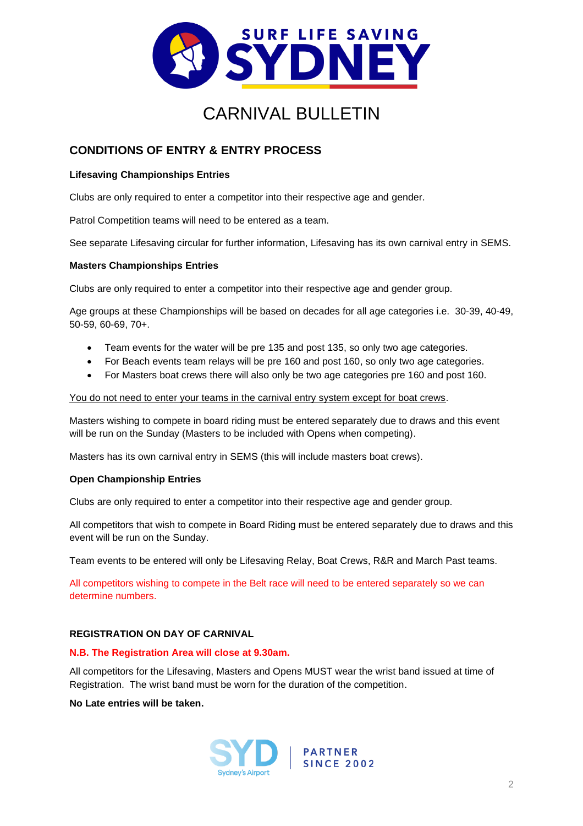

# **CONDITIONS OF ENTRY & ENTRY PROCESS**

#### **Lifesaving Championships Entries**

Clubs are only required to enter a competitor into their respective age and gender.

Patrol Competition teams will need to be entered as a team.

See separate Lifesaving circular for further information, Lifesaving has its own carnival entry in SEMS.

#### **Masters Championships Entries**

Clubs are only required to enter a competitor into their respective age and gender group.

Age groups at these Championships will be based on decades for all age categories i.e. 30-39, 40-49, 50-59, 60-69, 70+.

- Team events for the water will be pre 135 and post 135, so only two age categories.
- For Beach events team relays will be pre 160 and post 160, so only two age categories.
- For Masters boat crews there will also only be two age categories pre 160 and post 160.

#### You do not need to enter your teams in the carnival entry system except for boat crews.

Masters wishing to compete in board riding must be entered separately due to draws and this event will be run on the Sunday (Masters to be included with Opens when competing).

Masters has its own carnival entry in SEMS (this will include masters boat crews).

#### **Open Championship Entries**

Clubs are only required to enter a competitor into their respective age and gender group.

All competitors that wish to compete in Board Riding must be entered separately due to draws and this event will be run on the Sunday.

Team events to be entered will only be Lifesaving Relay, Boat Crews, R&R and March Past teams.

All competitors wishing to compete in the Belt race will need to be entered separately so we can determine numbers.

#### **REGISTRATION ON DAY OF CARNIVAL**

#### **N.B. The Registration Area will close at 9.30am.**

All competitors for the Lifesaving, Masters and Opens MUST wear the wrist band issued at time of Registration. The wrist band must be worn for the duration of the competition.

**No Late entries will be taken.**

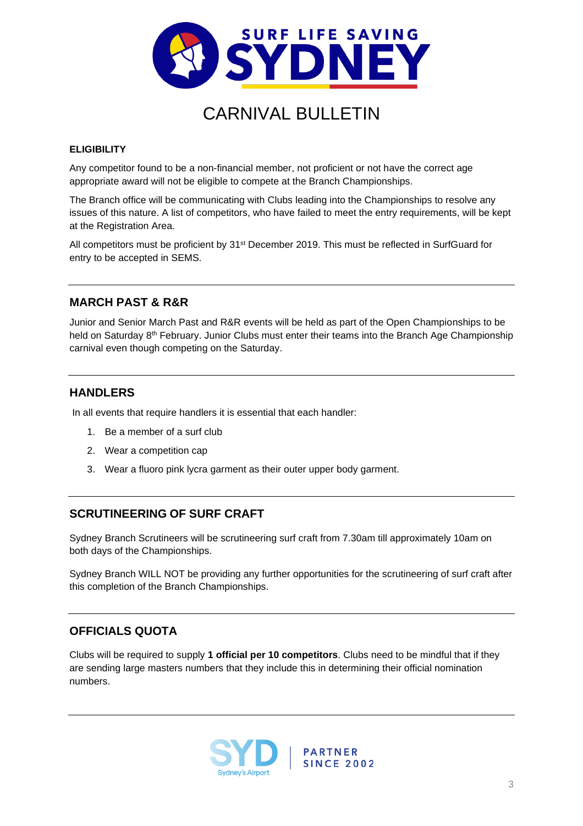

#### **ELIGIBILITY**

Any competitor found to be a non-financial member, not proficient or not have the correct age appropriate award will not be eligible to compete at the Branch Championships.

The Branch office will be communicating with Clubs leading into the Championships to resolve any issues of this nature. A list of competitors, who have failed to meet the entry requirements, will be kept at the Registration Area.

All competitors must be proficient by 31<sup>st</sup> December 2019. This must be reflected in SurfGuard for entry to be accepted in SEMS.

### **MARCH PAST & R&R**

Junior and Senior March Past and R&R events will be held as part of the Open Championships to be held on Saturday 8<sup>th</sup> February. Junior Clubs must enter their teams into the Branch Age Championship carnival even though competing on the Saturday.

### **HANDLERS**

In all events that require handlers it is essential that each handler:

- 1. Be a member of a surf club
- 2. Wear a competition cap
- 3. Wear a fluoro pink lycra garment as their outer upper body garment.

## **SCRUTINEERING OF SURF CRAFT**

Sydney Branch Scrutineers will be scrutineering surf craft from 7.30am till approximately 10am on both days of the Championships.

Sydney Branch WILL NOT be providing any further opportunities for the scrutineering of surf craft after this completion of the Branch Championships.

## **OFFICIALS QUOTA**

Clubs will be required to supply **1 official per 10 competitors**. Clubs need to be mindful that if they are sending large masters numbers that they include this in determining their official nomination numbers.

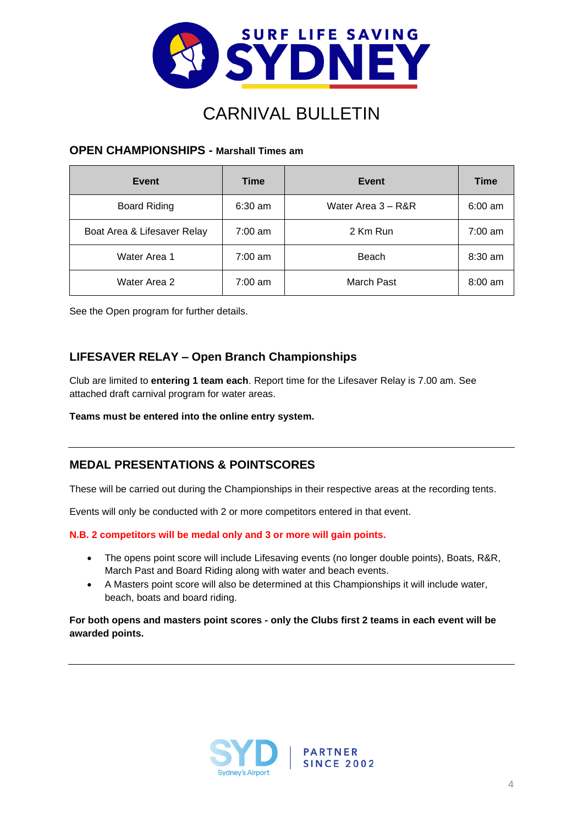

#### **OPEN CHAMPIONSHIPS - Marshall Times am**

| Event                       | <b>Time</b>       | Event              | Time              |
|-----------------------------|-------------------|--------------------|-------------------|
| <b>Board Riding</b>         | $6:30$ am         | Water Area 3 - R&R | $6:00 \text{ am}$ |
| Boat Area & Lifesaver Relay | $7:00 \text{ am}$ | 2 Km Run           | $7:00 \text{ am}$ |
| Water Area 1                | $7:00 \text{ am}$ | Beach              | $8:30$ am         |
| Water Area 2                | $7:00 \text{ am}$ | March Past         | $8:00$ am         |

See the Open program for further details.

### **LIFESAVER RELAY – Open Branch Championships**

Club are limited to **entering 1 team each**. Report time for the Lifesaver Relay is 7.00 am. See attached draft carnival program for water areas.

**Teams must be entered into the online entry system.**

### **MEDAL PRESENTATIONS & POINTSCORES**

These will be carried out during the Championships in their respective areas at the recording tents.

Events will only be conducted with 2 or more competitors entered in that event.

**N.B. 2 competitors will be medal only and 3 or more will gain points.** 

- The opens point score will include Lifesaving events (no longer double points), Boats, R&R, March Past and Board Riding along with water and beach events.
- A Masters point score will also be determined at this Championships it will include water, beach, boats and board riding.

#### **For both opens and masters point scores - only the Clubs first 2 teams in each event will be awarded points.**

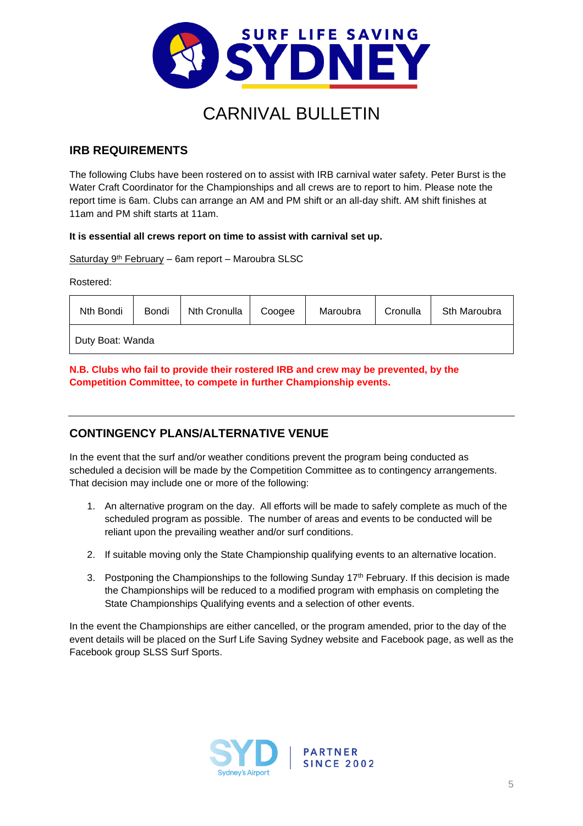

## **IRB REQUIREMENTS**

The following Clubs have been rostered on to assist with IRB carnival water safety. Peter Burst is the Water Craft Coordinator for the Championships and all crews are to report to him. Please note the report time is 6am. Clubs can arrange an AM and PM shift or an all-day shift. AM shift finishes at 11am and PM shift starts at 11am.

#### **It is essential all crews report on time to assist with carnival set up.**

#### Saturday 9<sup>th</sup> February – 6am report – Maroubra SLSC

Rostered:

| Nth Bondi        | Bondi | Nth Cronulla | Coogee | Maroubra | Cronulla | Sth Maroubra |
|------------------|-------|--------------|--------|----------|----------|--------------|
| Duty Boat: Wanda |       |              |        |          |          |              |

**N.B. Clubs who fail to provide their rostered IRB and crew may be prevented, by the Competition Committee, to compete in further Championship events.**

## **CONTINGENCY PLANS/ALTERNATIVE VENUE**

In the event that the surf and/or weather conditions prevent the program being conducted as scheduled a decision will be made by the Competition Committee as to contingency arrangements. That decision may include one or more of the following:

- 1. An alternative program on the day. All efforts will be made to safely complete as much of the scheduled program as possible. The number of areas and events to be conducted will be reliant upon the prevailing weather and/or surf conditions.
- 2. If suitable moving only the State Championship qualifying events to an alternative location.
- 3. Postponing the Championships to the following Sunday  $17<sup>th</sup>$  February. If this decision is made the Championships will be reduced to a modified program with emphasis on completing the State Championships Qualifying events and a selection of other events.

In the event the Championships are either cancelled, or the program amended, prior to the day of the event details will be placed on the Surf Life Saving Sydney website and Facebook page, as well as the Facebook group SLSS Surf Sports.